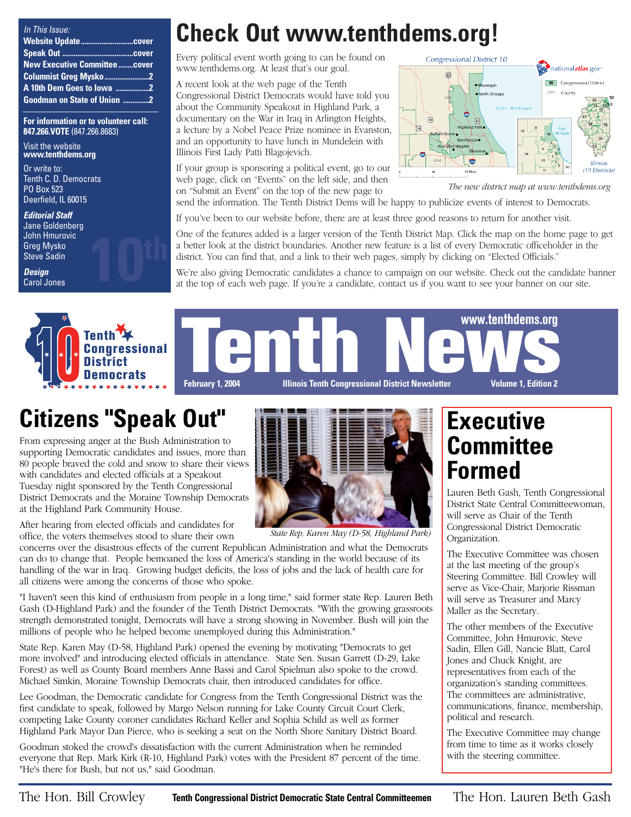| In This Issue:                       |  |
|--------------------------------------|--|
|                                      |  |
|                                      |  |
| <b>New Executive Committee cover</b> |  |
| <b>Columnist Greg Mysko 2</b>        |  |
| A 10th Dem Goes to Iowa 2            |  |
| <b>Goodman on State of Union 2</b>   |  |

**For information or to volunteer call: 847.266.VOTE** (847.266.8683)

Visit the website **www.tenthdems.org** 

Or write to: Tenth C. D. Democrats PO Box 523 Deerfield, IL 60015

**Editorial Staff** Jane Goldenberg John Hmurovic Greg Mysko Steve Sadin

**Design** Carol Jones



**Check Out www.tenthdems.org!**

Every political event worth going to can be found on www.tenthdems.org. At least that's our goal.

A recent look at the web page of the Tenth Congressional District Democrats would have told you about the Community Speakout in Highland Park, a documentary on the War in Iraq in Arlington Heights, a lecture by a Nobel Peace Prize nominee in Evanston, and an opportunity to have lunch in Mundelein with Illinois First Lady Patti Blagojevich.

If your group is sponsoring a political event, go to our web page, click on "Events" on the left side, and then on "Submit an Event" on the top of the new page to send the information. The Tenth District Dems will be happy to publicize events of interest to Democrats.



*The new district map at www.tenthdems.org*

If you've been to our website before, there are at least three good reasons to return for another visit.

One of the features added is a larger version of the Tenth District Map. Click the map on the home page to get a better look at the district boundaries. Another new feature is a list of every Democratic officeholder in the district. You can find that, and a link to their web pages, simply by clicking on "Elected Officials."

We're also giving Democratic candidates a chance to campaign on our website. Check out the candidate banner at the top of each web page. If you're a candidate, contact us if you want to see your banner on our site.



**Congressional District**<br>Democrats<br>Democrats February 1. 2004 Illinois Tenth Congressional District Newsletter Volume 1. Edition 2 **February 1, 2004 Illinois Tenth Congressional District Newsletter Volume 1, Edition 2 www.tenthdems.org**

# **Citizens "Speak Out"**

From expressing anger at the Bush Administration to supporting Democratic candidates and issues, more than 80 people braved the cold and snow to share their views with candidates and elected officials at a Speakout Tuesday night sponsored by the Tenth Congressional District Democrats and the Moraine Township Democrats at the Highland Park Community House.

After hearing from elected officials and candidates for office, the voters themselves stood to share their own

concerns over the disastrous effects of the current Republican Administration and what the Democrats can do to change that. People bemoaned the loss of America's standing in the world because of its handling of the war in Iraq. Growing budget deficits, the loss of jobs and the lack of health care for all citizens were among the concerns of those who spoke.

"I haven't seen this kind of enthusiasm from people in a long time," said former state Rep. Lauren Beth Gash (D-Highland Park) and the founder of the Tenth District Democrats. "With the growing grassroots strength demonstrated tonight, Democrats will have a strong showing in November. Bush will join the millions of people who he helped become unemployed during this Administration."

State Rep. Karen May (D-58, Highland Park) opened the evening by motivating "Democrats to get more involved" and introducing elected officials in attendance. State Sen. Susan Garrett (D-29, Lake Forest) as well as County Board members Anne Bassi and Carol Spielman also spoke to the crowd. Michael Simkin, Moraine Township Democrats chair, then introduced candidates for office.

Lee Goodman, the Democratic candidate for Congress from the Tenth Congressional District was the first candidate to speak, followed by Margo Nelson running for Lake County Circuit Court Clerk, competing Lake County coroner candidates Richard Keller and Sophia Schild as well as former Highland Park Mayor Dan Pierce, who is seeking a seat on the North Shore Sanitary District Board.

Goodman stoked the crowd's dissatisfaction with the current Administration when he reminded everyone that Rep. Mark Kirk (R-10, Highland Park) votes with the President 87 percent of the time. "He's there for Bush, but not us," said Goodman.

## **Executive Committee Formed**

Lauren Beth Gash, Tenth Congressional District State Central Committeewoman, will serve as Chair of the Tenth Congressional District Democratic Organization.

The Executive Committee was chosen at the last meeting of the group's Steering Committee. Bill Crowley will serve as Vice-Chair, Marjorie Rissman will serve as Treasurer and Marcy Maller as the Secretary.

The other members of the Executive Committee, John Hmurovic, Steve Sadin, Ellen Gill, Nancie Blatt, Carol Jones and Chuck Knight, are representatives from each of the organization's standing committees. The committees are administrative, communications, finance, membership, political and research.

The Executive Committee may change from time to time as it works closely with the steering committee.



*State Rep. Karen May (D-58, Highland Park)*

The Hon. Bill Crowley **Tenth Congressional District Democratic State Central Committeemen** The Hon. Lauren Beth Gash